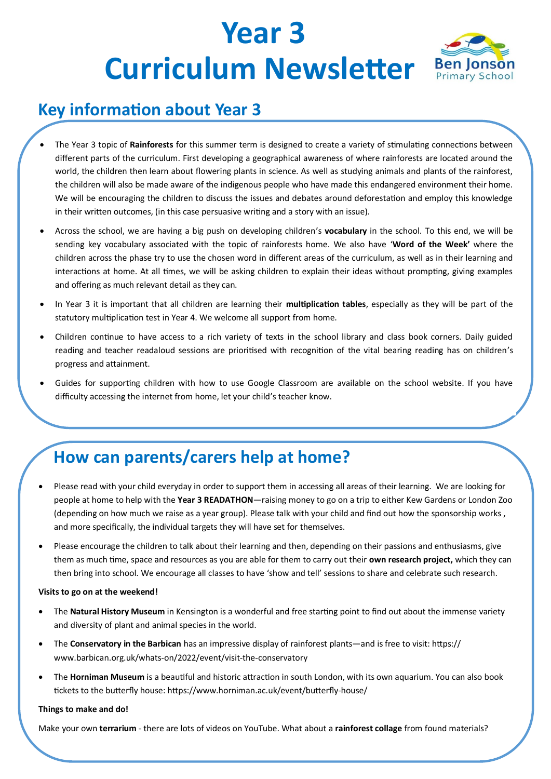## **Year 3 Curriculum Newsletter** Ben Jonson



### **Key information about Year 3**

- The Year 3 topic of **Rainforests** for this summer term is designed to create a variety of stimulating connections between different parts of the curriculum. First developing a geographical awareness of where rainforests are located around the world, the children then learn about flowering plants in science. As well as studying animals and plants of the rainforest, the children will also be made aware of the indigenous people who have made this endangered environment their home. We will be encouraging the children to discuss the issues and debates around deforestation and employ this knowledge in their written outcomes, (in this case persuasive writing and a story with an issue).
- Across the school, we are having a big push on developing children's **vocabulary** in the school. To this end, we will be sending key vocabulary associated with the topic of rainforests home. We also have '**Word of the Week'** where the children across the phase try to use the chosen word in different areas of the curriculum, as well as in their learning and interactions at home. At all times, we will be asking children to explain their ideas without prompting, giving examples and offering as much relevant detail as they can.
- In Year 3 it is important that all children are learning their **multiplication tables**, especially as they will be part of the statutory multiplication test in Year 4. We welcome all support from home.
- Children continue to have access to a rich variety of texts in the school library and class book corners. Daily guided reading and teacher readaloud sessions are prioritised with recognition of the vital bearing reading has on children's progress and attainment.
- Guides for supporting children with how to use Google Classroom are available on the school website. If you have difficulty accessing the internet from home, let your child's teacher know.

## **How can parents/carers help at home?**

- Please read with your child everyday in order to support them in accessing all areas of their learning. We are looking for people at home to help with the **Year 3 READATHON**—raising money to go on a trip to either Kew Gardens or London Zoo (depending on how much we raise as a year group). Please talk with your child and find out how the sponsorship works , and more specifically, the individual targets they will have set for themselves.
- Please encourage the children to talk about their learning and then, depending on their passions and enthusiasms, give them as much time, space and resources as you are able for them to carry out their **own research project,** which they can then bring into school. We encourage all classes to have 'show and tell' sessions to share and celebrate such research.

#### **Visits to go on at the weekend!**

- The **Natural History Museum** in Kensington is a wonderful and free starting point to find out about the immense variety and diversity of plant and animal species in the world.
- The **Conservatory in the Barbican** has an impressive display of rainforest plants—and is free to visit: https:// www.barbican.org.uk/whats-on/2022/event/visit-the-conservatory
- The **Horniman Museum** is a beautiful and historic attraction in south London, with its own aquarium. You can also book tickets to the butterfly house: https://www.horniman.ac.uk/event/butterfly-house/

#### **Things to make and do!**

Make your own **terrarium** - there are lots of videos on YouTube. What about a **rainforest collage** from found materials?